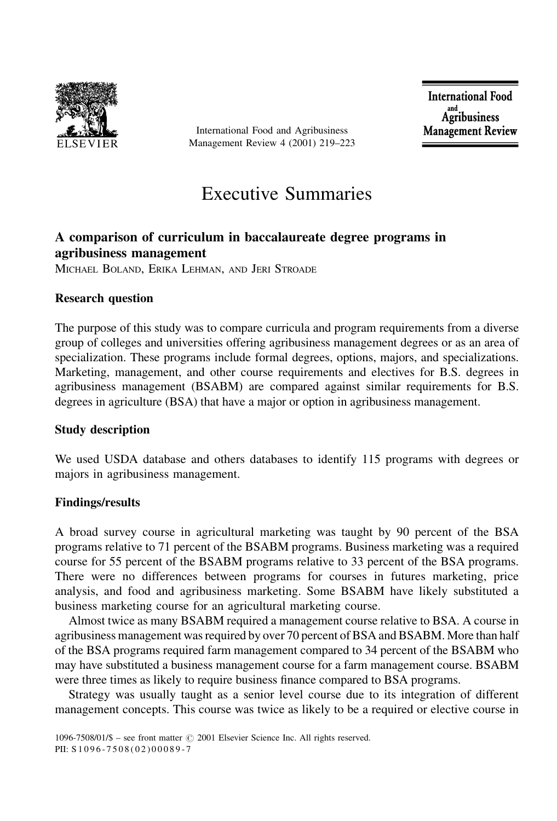

International Food and Agribusiness Management Review 4 (2001) 219-223

**International Food** Agribusiness **Management Review** 

# **Executive Summaries**

# A comparison of curriculum in baccalaureate degree programs in agribusiness management

MICHAEL BOLAND. ERIKA LEHMAN, AND JERI STROADE

#### **Research question**

The purpose of this study was to compare curricula and program requirements from a diverse group of colleges and universities offering agribusiness management degrees or as an area of specialization. These programs include formal degrees, options, majors, and specializations. Marketing, management, and other course requirements and electives for B.S. degrees in agribusiness management (BSABM) are compared against similar requirements for B.S. degrees in agriculture (BSA) that have a major or option in agribusiness management.

#### **Study description**

We used USDA database and others databases to identify 115 programs with degrees or majors in agribusiness management.

## **Findings/results**

A broad survey course in agricultural marketing was taught by 90 percent of the BSA programs relative to 71 percent of the BSABM programs. Business marketing was a required course for 55 percent of the BSABM programs relative to 33 percent of the BSA programs. There were no differences between programs for courses in futures marketing, price analysis, and food and agribusiness marketing. Some BSABM have likely substituted a business marketing course for an agricultural marketing course.

Almost twice as many BSABM required a management course relative to BSA. A course in agribusiness management was required by over 70 percent of BSA and BSABM. More than half of the BSA programs required farm management compared to 34 percent of the BSABM who may have substituted a business management course for a farm management course. BSABM were three times as likely to require business finance compared to BSA programs.

Strategy was usually taught as a senior level course due to its integration of different management concepts. This course was twice as likely to be a required or elective course in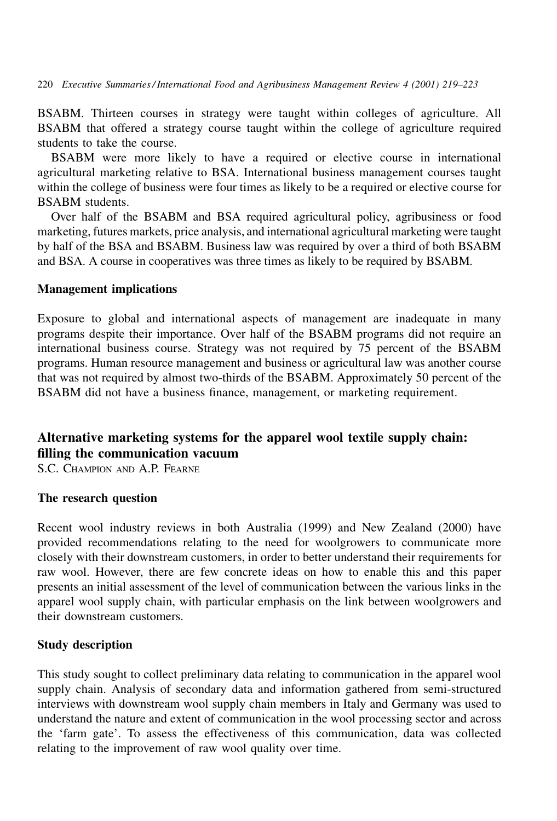BSABM. Thirteen courses in strategy were taught within colleges of agriculture. All BSABM that offered a strategy course taught within the college of agriculture required students to take the course.

BSABM were more likely to have a required or elective course in international agricultural marketing relative to BSA. International business management courses taught within the college of business were four times as likely to be a required or elective course for **BSABM** students.

Over half of the BSABM and BSA required agricultural policy, agribusiness or food marketing, futures markets, price analysis, and international agricultural marketing were taught by half of the BSA and BSABM. Business law was required by over a third of both BSABM and BSA. A course in cooperatives was three times as likely to be required by BSABM.

#### **Management implications**

Exposure to global and international aspects of management are inadequate in many programs despite their importance. Over half of the BSABM programs did not require an international business course. Strategy was not required by 75 percent of the BSABM programs. Human resource management and business or agricultural law was another course that was not required by almost two-thirds of the BSABM. Approximately 50 percent of the BSABM did not have a business finance, management, or marketing requirement.

# Alternative marketing systems for the apparel wool textile supply chain: filling the communication vacuum

S.C. CHAMPION AND A.P. FEARNE

#### The research question

Recent wool industry reviews in both Australia (1999) and New Zealand (2000) have provided recommendations relating to the need for woolgrowers to communicate more closely with their downstream customers, in order to better understand their requirements for raw wool. However, there are few concrete ideas on how to enable this and this paper presents an initial assessment of the level of communication between the various links in the apparel wool supply chain, with particular emphasis on the link between woolgrowers and their downstream customers.

#### **Study description**

This study sought to collect preliminary data relating to communication in the apparel wool supply chain. Analysis of secondary data and information gathered from semi-structured interviews with downstream wool supply chain members in Italy and Germany was used to understand the nature and extent of communication in the wool processing sector and across the 'farm gate'. To assess the effectiveness of this communication, data was collected relating to the improvement of raw wool quality over time.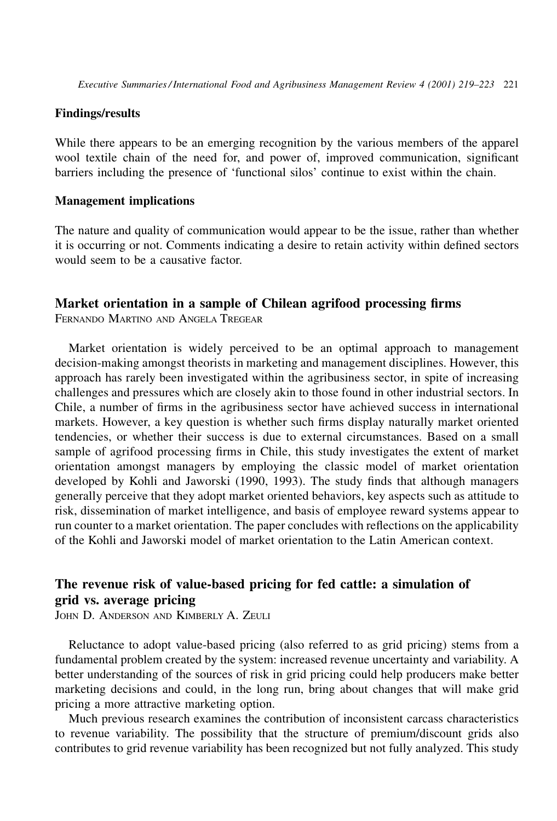#### **Findings/results**

While there appears to be an emerging recognition by the various members of the apparel wool textile chain of the need for, and power of, improved communication, significant barriers including the presence of 'functional silos' continue to exist within the chain.

#### **Management implications**

The nature and quality of communication would appear to be the issue, rather than whether it is occurring or not. Comments indicating a desire to retain activity within defined sectors would seem to be a causative factor

### Market orientation in a sample of Chilean agrifood processing firms

FERNANDO MARTINO AND ANGELA TREGEAR

Market orientation is widely perceived to be an optimal approach to management decision-making amongst theorists in marketing and management disciplines. However, this approach has rarely been investigated within the agribusiness sector, in spite of increasing challenges and pressures which are closely akin to those found in other industrial sectors. In Chile, a number of firms in the agribusiness sector have achieved success in international markets. However, a key question is whether such firms display naturally market oriented tendencies, or whether their success is due to external circumstances. Based on a small sample of agrifood processing firms in Chile, this study investigates the extent of market orientation amongst managers by employing the classic model of market orientation developed by Kohli and Jaworski (1990, 1993). The study finds that although managers generally perceive that they adopt market oriented behaviors, key aspects such as attitude to risk, dissemination of market intelligence, and basis of employee reward systems appear to run counter to a market orientation. The paper concludes with reflections on the applicability of the Kohli and Jaworski model of market orientation to the Latin American context.

# The revenue risk of value-based pricing for fed cattle: a simulation of grid vs. average pricing

JOHN D. ANDERSON AND KIMBERLY A. ZEULI

Reluctance to adopt value-based pricing (also referred to as grid pricing) stems from a fundamental problem created by the system: increased revenue uncertainty and variability. A better understanding of the sources of risk in grid pricing could help producers make better marketing decisions and could, in the long run, bring about changes that will make grid pricing a more attractive marketing option.

Much previous research examines the contribution of inconsistent carcass characteristics to revenue variability. The possibility that the structure of premium/discount grids also contributes to grid revenue variability has been recognized but not fully analyzed. This study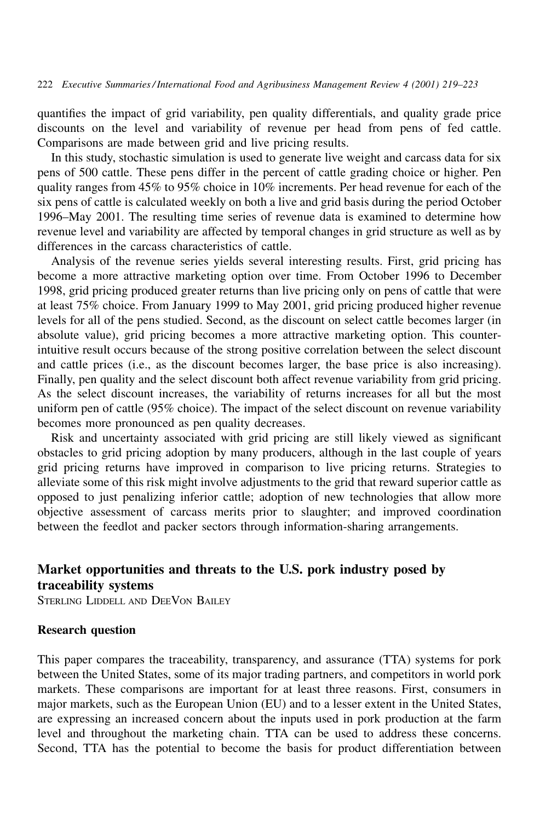quantifies the impact of grid variability, pen quality differentials, and quality grade price discounts on the level and variability of revenue per head from pens of fed cattle. Comparisons are made between grid and live pricing results.

In this study, stochastic simulation is used to generate live weight and carcass data for six pens of 500 cattle. These pens differ in the percent of cattle grading choice or higher. Pen quality ranges from  $45\%$  to  $95\%$  choice in  $10\%$  increments. Per head revenue for each of the six pens of cattle is calculated weekly on both a live and grid basis during the period October 1996–May 2001. The resulting time series of revenue data is examined to determine how revenue level and variability are affected by temporal changes in grid structure as well as by differences in the carcass characteristics of cattle.

Analysis of the revenue series yields several interesting results. First, grid pricing has become a more attractive marketing option over time. From October 1996 to December 1998, grid pricing produced greater returns than live pricing only on pens of cattle that were at least 75% choice. From January 1999 to May 2001, grid pricing produced higher revenue levels for all of the pens studied. Second, as the discount on select cattle becomes larger (in absolute value), grid pricing becomes a more attractive marketing option. This counterintuitive result occurs because of the strong positive correlation between the select discount and cattle prices (i.e., as the discount becomes larger, the base price is also increasing). Finally, pen quality and the select discount both affect revenue variability from grid pricing. As the select discount increases, the variability of returns increases for all but the most uniform pen of cattle (95% choice). The impact of the select discount on revenue variability becomes more pronounced as pen quality decreases.

Risk and uncertainty associated with grid pricing are still likely viewed as significant obstacles to grid pricing adoption by many producers, although in the last couple of years grid pricing returns have improved in comparison to live pricing returns. Strategies to alleviate some of this risk might involve adjustments to the grid that reward superior cattle as opposed to just penalizing inferior cattle; adoption of new technologies that allow more objective assessment of carcass merits prior to slaughter; and improved coordination between the feedlot and packer sectors through information-sharing arrangements.

# Market opportunities and threats to the U.S. pork industry posed by traceability systems

STERLING LIDDELL AND DEEVON BAILEY

#### **Research question**

This paper compares the traceability, transparency, and assurance (TTA) systems for pork between the United States, some of its major trading partners, and competitors in world pork markets. These comparisons are important for at least three reasons. First, consumers in major markets, such as the European Union (EU) and to a lesser extent in the United States, are expressing an increased concern about the inputs used in pork production at the farm level and throughout the marketing chain. TTA can be used to address these concerns. Second, TTA has the potential to become the basis for product differentiation between